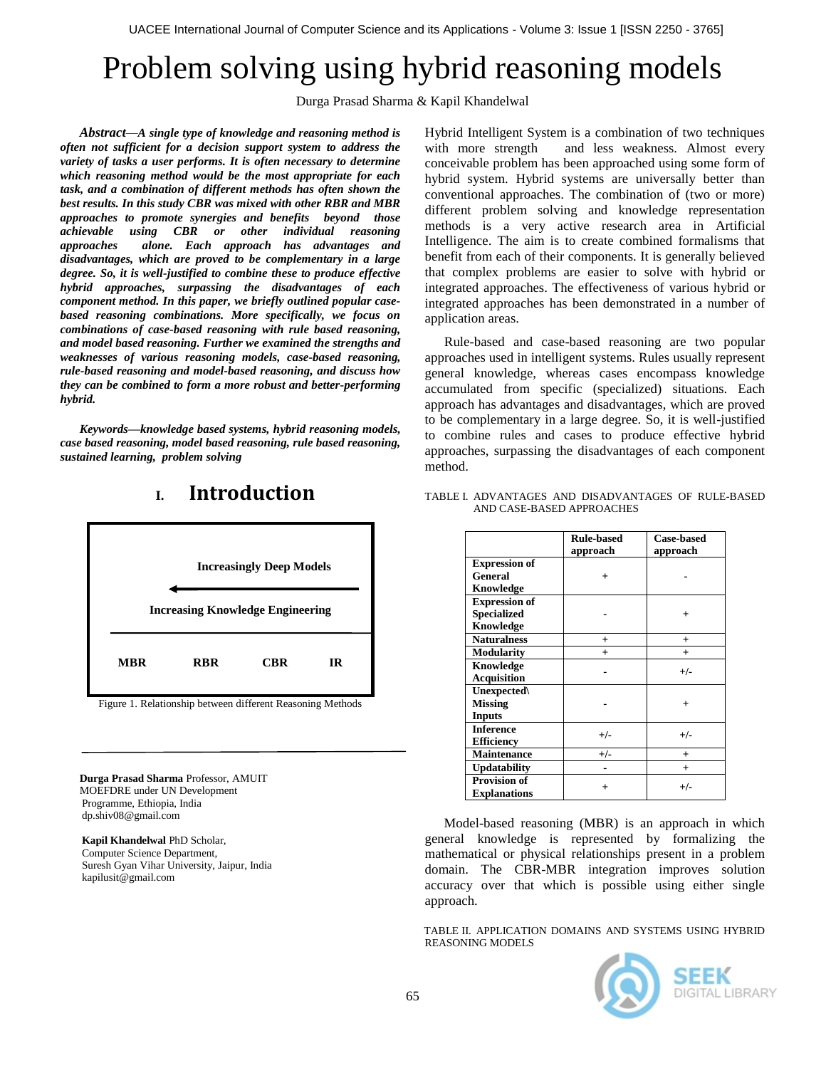# Problem solving using hybrid reasoning models

Durga Prasad Sharma & Kapil Khandelwal

*Abstract—A single type of knowledge and reasoning method is often not sufficient for a decision support system to address the variety of tasks a user performs. It is often necessary to determine which reasoning method would be the most appropriate for each task, and a combination of different methods has often shown the best results. In this study CBR was mixed with other RBR and MBR approaches to promote synergies and benefits beyond those achievable using CBR or other individual reasoning approaches alone. Each approach has advantages and disadvantages, which are proved to be complementary in a large degree. So, it is well-justified to combine these to produce effective hybrid approaches, surpassing the disadvantages of each component method. In this paper, we briefly outlined popular casebased reasoning combinations. More specifically, we focus on combinations of case-based reasoning with rule based reasoning, and model based reasoning. Further we examined the strengths and weaknesses of various reasoning models, case-based reasoning, rule-based reasoning and model-based reasoning, and discuss how they can be combined to form a more robust and better-performing hybrid.*

*Keywords—knowledge based systems, hybrid reasoning models, case based reasoning, model based reasoning, rule based reasoning, sustained learning, problem solving*



## **I. Introduction**

Figure 1. Relationship between different Reasoning Methods

**Durga Prasad Sharma** Professor, AMUIT MOEFDRE under UN Development Programme, Ethiopia, India dp.shiv08@gmail.com

 **Kapil Khandelwal** PhD Scholar, Computer Science Department, Suresh Gyan Vihar University, Jaipur, India kapilusit@gmail.com

Hybrid Intelligent System is a combination of two techniques with more strength and less weakness. Almost every conceivable problem has been approached using some form of hybrid system. Hybrid systems are universally better than conventional approaches. The combination of (two or more) different problem solving and knowledge representation methods is a very active research area in Artificial Intelligence. The aim is to create combined formalisms that benefit from each of their components. It is generally believed that complex problems are easier to solve with hybrid or integrated approaches. The effectiveness of various hybrid or integrated approaches has been demonstrated in a number of application areas.

Rule-based and case-based reasoning are two popular approaches used in intelligent systems. Rules usually represent general knowledge, whereas cases encompass knowledge accumulated from specific (specialized) situations. Each approach has advantages and disadvantages, which are proved to be complementary in a large degree. So, it is well-justified to combine rules and cases to produce effective hybrid approaches, surpassing the disadvantages of each component method.

#### TABLE I. ADVANTAGES AND DISADVANTAGES OF RULE-BASED AND CASE-BASED APPROACHES

|                      | <b>Rule-based</b><br>approach | <b>Case-based</b><br>approach |
|----------------------|-------------------------------|-------------------------------|
| <b>Expression of</b> |                               |                               |
| <b>General</b>       | $^{+}$                        |                               |
| Knowledge            |                               |                               |
| <b>Expression of</b> |                               |                               |
| <b>Specialized</b>   |                               |                               |
| Knowledge            |                               |                               |
| <b>Naturalness</b>   | $^{+}$                        | $^+$                          |
| <b>Modularity</b>    | $^{+}$                        | $+$                           |
| Knowledge            |                               | $+/-$                         |
| <b>Acquisition</b>   |                               |                               |
| Unexpected\          |                               |                               |
| <b>Missing</b>       |                               | $\ddot{}$                     |
| <b>Inputs</b>        |                               |                               |
| <b>Inference</b>     | $+/-$                         | $+/-$                         |
| <b>Efficiency</b>    |                               |                               |
| Maintenance          | $+/-$                         | $\ddot{}$                     |
| <b>Updatability</b>  |                               | $\ddot{}$                     |
| <b>Provision of</b>  |                               |                               |
| <b>Explanations</b>  | $^{+}$                        | $+/-$                         |

Model-based reasoning (MBR) is an approach in which general knowledge is represented by formalizing the mathematical or physical relationships present in a problem domain. The CBR-MBR integration improves solution accuracy over that which is possible using either single approach.

TABLE II. APPLICATION DOMAINS AND SYSTEMS USING HYBRID REASONING MODELS

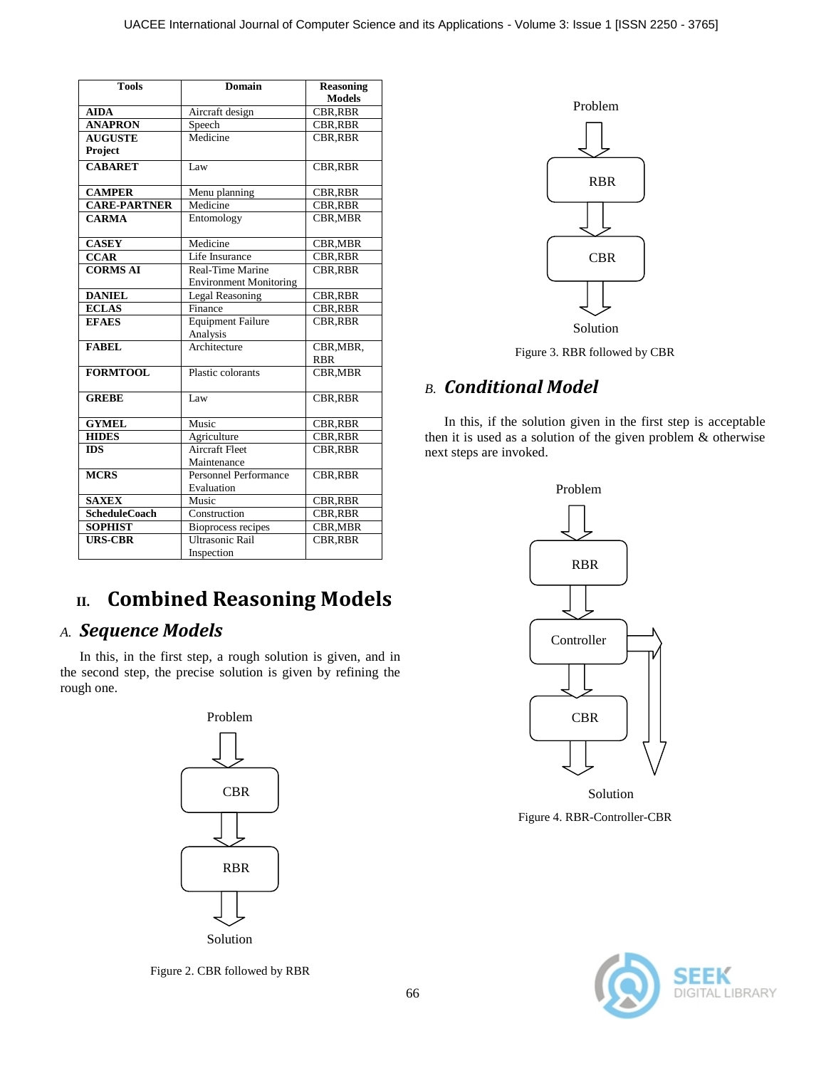| <b>Tools</b>         | <b>Domain</b>                        | <b>Reasoning</b>        |
|----------------------|--------------------------------------|-------------------------|
|                      |                                      | <b>Models</b>           |
| <b>AIDA</b>          | Aircraft design                      | CBR, RBR                |
| <b>ANAPRON</b>       | Speech                               | <b>CBR, RBR</b>         |
| <b>AUGUSTE</b>       | Medicine                             | <b>CBR, RBR</b>         |
| <b>Project</b>       |                                      |                         |
| <b>CABARET</b>       | Law                                  | <b>CBR, RBR</b>         |
| <b>CAMPER</b>        | Menu planning                        | <b>CBR, RBR</b>         |
| <b>CARE-PARTNER</b>  | Medicine                             | <b>CBR.RBR</b>          |
| <b>CARMA</b>         | Entomology                           | CBR, MBR                |
| <b>CASEY</b>         | Medicine                             | <b>CBR,MBR</b>          |
| <b>CCAR</b>          | Life Insurance                       | <b>CBR, RBR</b>         |
| <b>CORMS AI</b>      | Real-Time Marine                     | <b>CBR, RBR</b>         |
|                      | <b>Environment Monitoring</b>        |                         |
| <b>DANIEL</b>        | <b>Legal Reasoning</b>               | <b>CBR,RBR</b>          |
| <b>ECLAS</b>         | Finance                              | <b>CBR.RBR</b>          |
| <b>EFAES</b>         | <b>Equipment Failure</b><br>Analysis | <b>CBR, RBR</b>         |
| <b>FABEL</b>         | Architecture                         | CBR, MBR,<br><b>RBR</b> |
| <b>FORMTOOL</b>      | Plastic colorants                    | CBR, MBR                |
| <b>GREBE</b>         | Law                                  | <b>CBR, RBR</b>         |
| <b>GYMEL</b>         | Music                                | <b>CBR,RBR</b>          |
| <b>HIDES</b>         | Agriculture                          | <b>CBR.RBR</b>          |
| <b>IDS</b>           | <b>Aircraft Fleet</b><br>Maintenance | <b>CBR,RBR</b>          |
| <b>MCRS</b>          | Personnel Performance                | CBR, RBR                |
| <b>SAXEX</b>         | Evaluation<br>Music                  |                         |
|                      | Construction                         | <b>CBR, RBR</b>         |
| <b>ScheduleCoach</b> |                                      | <b>CBR.RBR</b>          |
| <b>SOPHIST</b>       | <b>Bioprocess recipes</b>            | <b>CBR,MBR</b>          |
| <b>URS-CBR</b>       | <b>Ultrasonic Rail</b><br>Inspection | <b>CBR,RBR</b>          |

# **II. Combined Reasoning Models**

#### *A. Sequence Models*

In this, in the first step, a rough solution is given, and in the second step, the precise solution is given by refining the rough one.



Figure 2. CBR followed by RBR



Figure 3. RBR followed by CBR

#### *B. Conditional Model*

In this, if the solution given in the first step is acceptable then it is used as a solution of the given problem & otherwise next steps are invoked.



Figure 4. RBR-Controller-CBR Solution

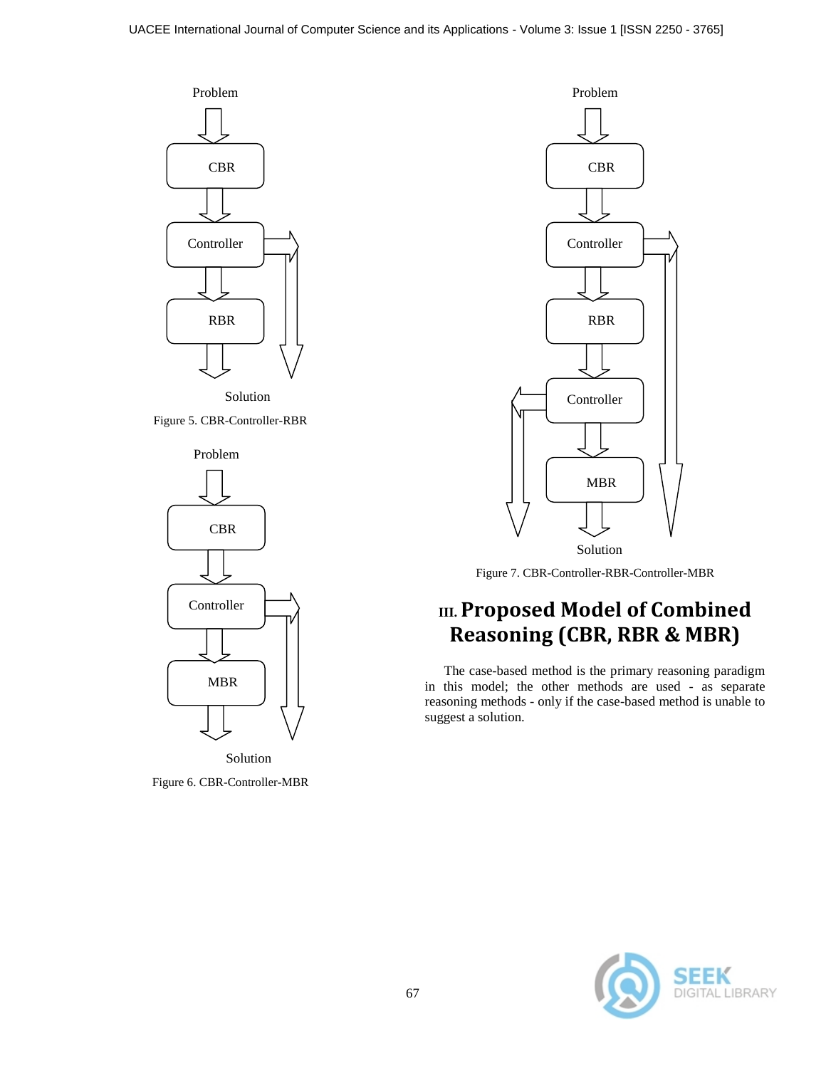

Solution

Figure 5. CBR-Controller-RBR



Figure 6. CBR-Controller-MBR



Figure 7. CBR-Controller-RBR-Controller-MBR

## **III. Proposed Model of Combined Reasoning (CBR, RBR & MBR)**

The case-based method is the primary reasoning paradigm in this model; the other methods are used - as separate reasoning methods - only if the case-based method is unable to suggest a solution.

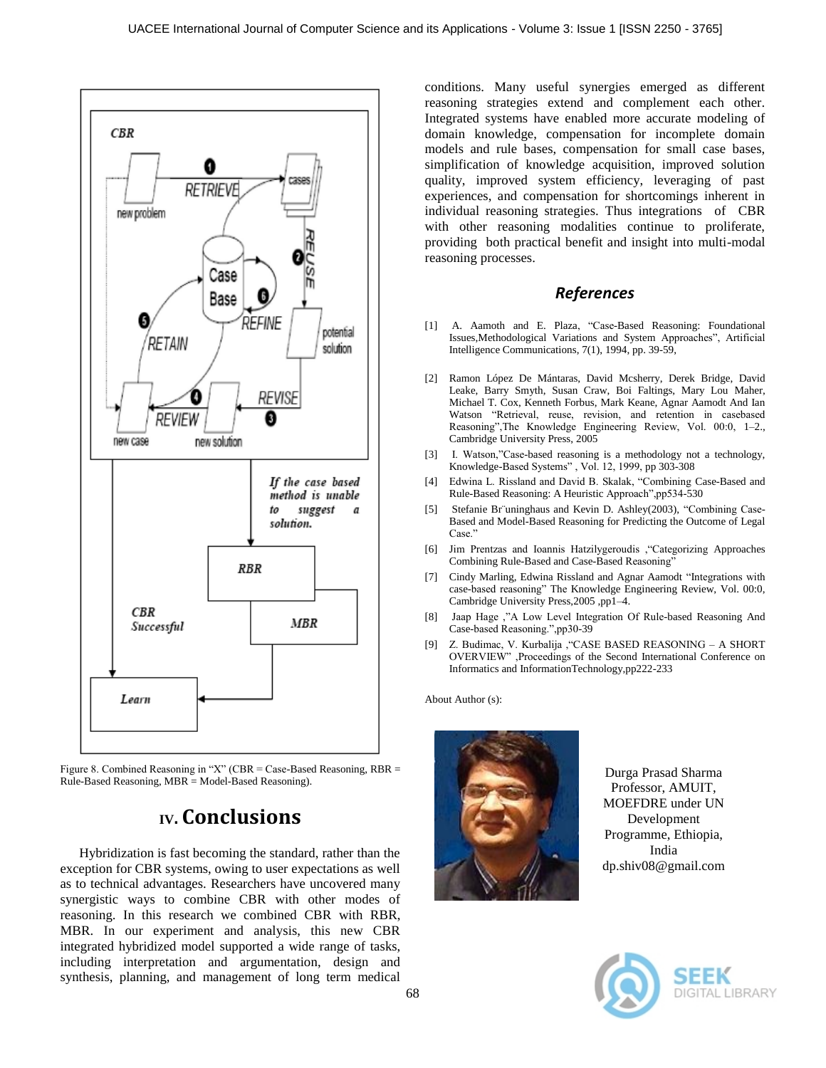

Figure 8. Combined Reasoning in "X" (CBR = Case-Based Reasoning,  $RBR =$ Rule-Based Reasoning, MBR = Model-Based Reasoning).

### **IV. Conclusions**

Hybridization is fast becoming the standard, rather than the exception for CBR systems, owing to user expectations as well as to technical advantages. Researchers have uncovered many synergistic ways to combine CBR with other modes of reasoning. In this research we combined CBR with RBR, MBR. In our experiment and analysis, this new CBR integrated hybridized model supported a wide range of tasks, including interpretation and argumentation, design and synthesis, planning, and management of long term medical

conditions. Many useful synergies emerged as different reasoning strategies extend and complement each other. Integrated systems have enabled more accurate modeling of domain knowledge, compensation for incomplete domain models and rule bases, compensation for small case bases, simplification of knowledge acquisition, improved solution quality, improved system efficiency, leveraging of past experiences, and compensation for shortcomings inherent in individual reasoning strategies. Thus integrations of CBR with other reasoning modalities continue to proliferate, providing both practical benefit and insight into multi-modal reasoning processes.

#### *References*

- [1] A. Aamoth and E. Plaza, "Case-Based Reasoning: Foundational Issues,Methodological Variations and System Approaches", Artificial Intelligence Communications, 7(1), 1994, pp. 39-59,
- [2] Ramon López De Mántaras, David Mcsherry, Derek Bridge, David Leake, Barry Smyth, Susan Craw, Boi Faltings, Mary Lou Maher, Michael T. Cox, Kenneth Forbus, Mark Keane, Agnar Aamodt And Ian Watson "Retrieval, reuse, revision, and retention in casebased Reasoning",The Knowledge Engineering Review, Vol. 00:0, 1–2., Cambridge University Press, 2005
- [3] I. Watson,"Case-based reasoning is a methodology not a technology, Knowledge-Based Systems" , Vol. 12, 1999, pp 303-308
- [4] Edwina L. Rissland and David B. Skalak, "Combining Case-Based and Rule-Based Reasoning: A Heuristic Approach",pp534-530
- [5] Stefanie Br¨uninghaus and Kevin D. Ashley(2003), "Combining Case-Based and Model-Based Reasoning for Predicting the Outcome of Legal Case."
- [6] Jim Prentzas and Ioannis Hatzilygeroudis ,"Categorizing Approaches Combining Rule-Based and Case-Based Reasoning"
- [7] Cindy Marling, Edwina Rissland and Agnar Aamodt "Integrations with case-based reasoning" The Knowledge Engineering Review, Vol. 00:0, Cambridge University Press,2005 ,pp1–4.
- [8] Jaap Hage ,"A Low Level Integration Of Rule-based Reasoning And Case-based Reasoning.",pp30-39
- [9] Z. Budimac, V. Kurbalija ,"CASE BASED REASONING A SHORT OVERVIEW" ,Proceedings of the Second International Conference on Informatics and InformationTechnology,pp222-233

About Author (s):



Durga Prasad Sharma Professor, AMUIT, MOEFDRE under UN Development Programme, Ethiopia, India dp.shiv08@gmail.com